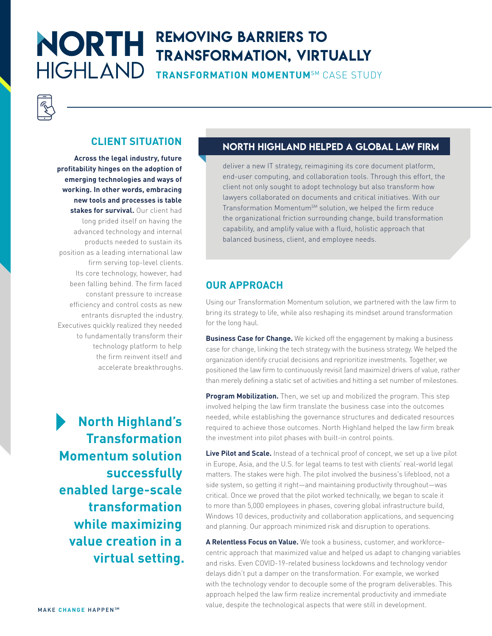## **NORTH** REMOVING BARRIERS TO TRANSFORMATION, VIRTUALLY **HIGHLAND**

**TRANSFORMATION MOMENTUM**SM CASE STUDY



#### **CLIENT SITUATION**

**Across the legal industry, future profitability hinges on the adoption of emerging technologies and ways of working. In other words, embracing new tools and processes is table stakes for survival.** Our client had long prided itself on having the advanced technology and internal products needed to sustain its position as a leading international law firm serving top-level clients. Its core technology, however, had been falling behind. The firm faced constant pressure to increase efficiency and control costs as new entrants disrupted the industry. Executives quickly realized they needed to fundamentally transform their technology platform to help the firm reinvent itself and accelerate breakthroughs.

**North Highland's Transformation Momentum solution successfully enabled large-scale transformation while maximizing value creation in a virtual setting.**

#### NORTH HIGHLAND HELPED A GLOBAL LAW FIRM

deliver a new IT strategy, reimagining its core document platform, end-user computing, and collaboration tools. Through this effort, the client not only sought to adopt technology but also transform how lawyers collaborated on documents and critical initiatives. With our Transformation Momentum<sup>SM</sup> solution, we helped the firm reduce the organizational friction surrounding change, build transformation capability, and amplify value with a fluid, holistic approach that balanced business, client, and employee needs.

#### **OUR APPROACH**

Using our Transformation Momentum solution, we partnered with the law firm to bring its strategy to life, while also reshaping its mindset around transformation for the long haul.

**Business Case for Change.** We kicked off the engagement by making a business case for change, linking the tech strategy with the business strategy. We helped the organization identify crucial decisions and reprioritize investments. Together, we positioned the law firm to continuously revisit (and maximize) drivers of value, rather than merely defining a static set of activities and hitting a set number of milestones.

**Program Mobilization.** Then, we set up and mobilized the program. This step involved helping the law firm translate the business case into the outcomes needed, while establishing the governance structures and dedicated resources required to achieve those outcomes. North Highland helped the law firm break the investment into pilot phases with built-in control points.

**Live Pilot and Scale.** Instead of a technical proof of concept, we set up a live pilot in Europe, Asia, and the U.S. for legal teams to test with clients' real-world legal matters. The stakes were high. The pilot involved the business's lifeblood, not a side system, so getting it right—and maintaining productivity throughout—was critical. Once we proved that the pilot worked technically, we began to scale it to more than 5,000 employees in phases, covering global infrastructure build, Windows 10 devices, productivity and collaboration applications, and sequencing and planning. Our approach minimized risk and disruption to operations.

**A Relentless Focus on Value.** We took a business, customer, and workforcecentric approach that maximized value and helped us adapt to changing variables and risks. Even COVID-19-related business lockdowns and technology vendor delays didn't put a damper on the transformation. For example, we worked with the technology vendor to decouple some of the program deliverables. This approach helped the law firm realize incremental productivity and immediate value, despite the technological aspects that were still in development.